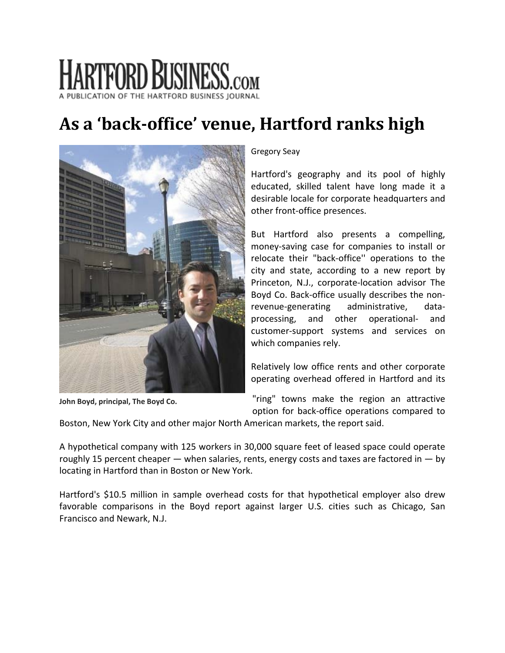# **HARTFORD BUSINESS.com**

# **As a 'backoffice' venue, Hartford ranks high**



**John Boyd, principal, The Boyd Co.**

# Gregory Seay

Hartford's geography and its pool of highly educated, skilled talent have long made it a desirable locale for corporate headquarters and other front‐office presences.

But Hartford also presents a compelling, money‐saving case for companies to install or relocate their "back‐office'' operations to the city and state, according to a new report by Princeton, N.J., corporate‐location advisor The Boyd Co. Back‐office usually describes the non‐ revenue‐generating administrative, data‐ processing, and other operational‐ and customer‐support systems and services on which companies rely.

Relatively low office rents and other corporate operating overhead offered in Hartford and its

"ring" towns make the region an attractive option for back‐office operations compared to

Boston, New York City and other major North American markets, the report said.

A hypothetical company with 125 workers in 30,000 square feet of leased space could operate roughly 15 percent cheaper  $-$  when salaries, rents, energy costs and taxes are factored in  $-$  by locating in Hartford than in Boston or New York.

Hartford's \$10.5 million in sample overhead costs for that hypothetical employer also drew favorable comparisons in the Boyd report against larger U.S. cities such as Chicago, San Francisco and Newark, N.J.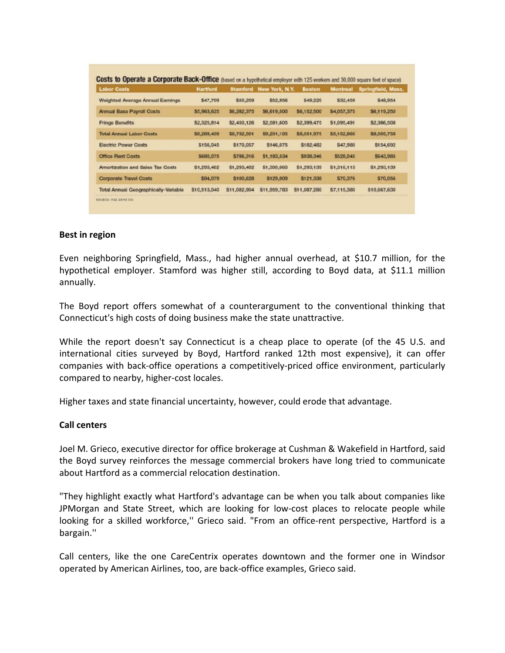| <b>Labor Costs</b>                   | <b>Hartford</b> | <b>Stamford</b> | New York, N.Y. | <b>Boston</b> | <b>Montreal</b> | Springfield, Mass. |
|--------------------------------------|-----------------|-----------------|----------------|---------------|-----------------|--------------------|
| Weighted Average Annual Earnings     | \$47,709        | \$50,259        | \$52,956       | \$49,220      | \$32,459        | <b>S48,954</b>     |
| <b>Annual Base Payroll Costs</b>     | \$5,963,625     | \$6,282,375     | \$6,619,500    | \$6,152,500   | \$4,057,375     | S6,119,250         |
| <b>Fringe Benefits</b>               | \$2,325,814     | \$2,450,126     | \$2,581,605    | \$2,399,475   | \$1,095,491     | \$2,386,508        |
| <b>Total Annual Labor Costs</b>      | \$8,289,439     | \$8,732,501     | \$9,201,105    | \$8,551,975   | \$5,152,866     | \$8,505,758        |
| <b>Electric Power Costs</b>          | \$156,045       | \$170,057       | \$146,075      | \$182,482     | \$47,980        | \$154,692          |
| Office Rent Costs                    | \$680,075       | \$786,316       | \$1,183,534    | \$938,346     | \$528,045       | \$643,985          |
| Amortization and Sales Tax Costs     | \$1,293,402     | \$1,293,402     | \$1,300,060    | \$1,293,139   | \$1,316,113     | \$1,293,139        |
| Corporate Travel Costs               | \$94,079        | \$100,628       | \$129,009      | \$121,338     | \$70,376        | \$70,056           |
| Total Annual Geographically-Variable | \$10,513,040    | \$11,082,904    | \$11,959,783   | \$11,087,280  | \$7,115,380     | \$10,667,630       |

#### **Best in region**

Even neighboring Springfield, Mass., had higher annual overhead, at \$10.7 million, for the hypothetical employer. Stamford was higher still, according to Boyd data, at \$11.1 million annually.

The Boyd report offers somewhat of a counterargument to the conventional thinking that Connecticut's high costs of doing business make the state unattractive.

While the report doesn't say Connecticut is a cheap place to operate (of the 45 U.S. and international cities surveyed by Boyd, Hartford ranked 12th most expensive), it can offer companies with back‐office operations a competitively‐priced office environment, particularly compared to nearby, higher‐cost locales.

Higher taxes and state financial uncertainty, however, could erode that advantage.

#### **Call centers**

Joel M. Grieco, executive director for office brokerage at Cushman & Wakefield in Hartford, said the Boyd survey reinforces the message commercial brokers have long tried to communicate about Hartford as a commercial relocation destination.

"They highlight exactly what Hartford's advantage can be when you talk about companies like JPMorgan and State Street, which are looking for low‐cost places to relocate people while looking for a skilled workforce,'' Grieco said. "From an office‐rent perspective, Hartford is a bargain.''

Call centers, like the one CareCentrix operates downtown and the former one in Windsor operated by American Airlines, too, are back‐office examples, Grieco said.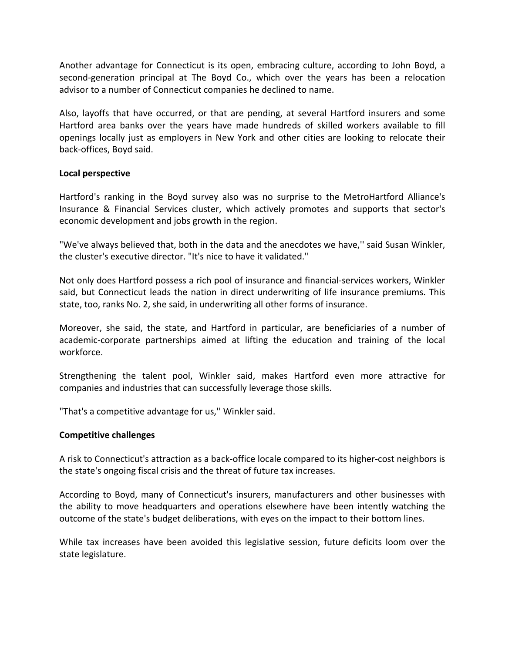Another advantage for Connecticut is its open, embracing culture, according to John Boyd, a second-generation principal at The Boyd Co., which over the years has been a relocation advisor to a number of Connecticut companies he declined to name.

Also, layoffs that have occurred, or that are pending, at several Hartford insurers and some Hartford area banks over the years have made hundreds of skilled workers available to fill openings locally just as employers in New York and other cities are looking to relocate their back‐offices, Boyd said.

## **Local perspective**

Hartford's ranking in the Boyd survey also was no surprise to the MetroHartford Alliance's Insurance & Financial Services cluster, which actively promotes and supports that sector's economic development and jobs growth in the region.

"We've always believed that, both in the data and the anecdotes we have,'' said Susan Winkler, the cluster's executive director. "It's nice to have it validated.''

Not only does Hartford possess a rich pool of insurance and financial‐services workers, Winkler said, but Connecticut leads the nation in direct underwriting of life insurance premiums. This state, too, ranks No. 2, she said, in underwriting all other forms of insurance.

Moreover, she said, the state, and Hartford in particular, are beneficiaries of a number of academic‐corporate partnerships aimed at lifting the education and training of the local workforce.

Strengthening the talent pool, Winkler said, makes Hartford even more attractive for companies and industries that can successfully leverage those skills.

"That's a competitive advantage for us,'' Winkler said.

#### **Competitive challenges**

A risk to Connecticut's attraction as a back‐office locale compared to its higher‐cost neighbors is the state's ongoing fiscal crisis and the threat of future tax increases.

According to Boyd, many of Connecticut's insurers, manufacturers and other businesses with the ability to move headquarters and operations elsewhere have been intently watching the outcome of the state's budget deliberations, with eyes on the impact to their bottom lines.

While tax increases have been avoided this legislative session, future deficits loom over the state legislature.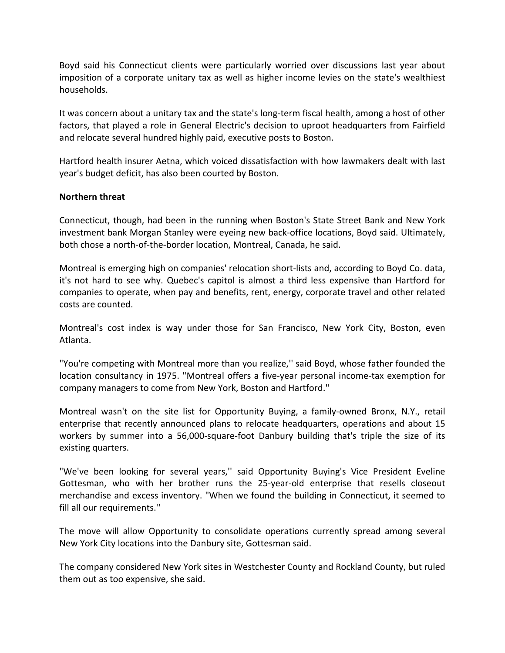Boyd said his Connecticut clients were particularly worried over discussions last year about imposition of a corporate unitary tax as well as higher income levies on the state's wealthiest households.

It was concern about a unitary tax and the state's long‐term fiscal health, among a host of other factors, that played a role in General Electric's decision to uproot headquarters from Fairfield and relocate several hundred highly paid, executive posts to Boston.

Hartford health insurer Aetna, which voiced dissatisfaction with how lawmakers dealt with last year's budget deficit, has also been courted by Boston.

## **Northern threat**

Connecticut, though, had been in the running when Boston's State Street Bank and New York investment bank Morgan Stanley were eyeing new back‐office locations, Boyd said. Ultimately, both chose a north‐of‐the‐border location, Montreal, Canada, he said.

Montreal is emerging high on companies' relocation short‐lists and, according to Boyd Co. data, it's not hard to see why. Quebec's capitol is almost a third less expensive than Hartford for companies to operate, when pay and benefits, rent, energy, corporate travel and other related costs are counted.

Montreal's cost index is way under those for San Francisco, New York City, Boston, even Atlanta.

"You're competing with Montreal more than you realize,'' said Boyd, whose father founded the location consultancy in 1975. "Montreal offers a five-year personal income-tax exemption for company managers to come from New York, Boston and Hartford.''

Montreal wasn't on the site list for Opportunity Buying, a family‐owned Bronx, N.Y., retail enterprise that recently announced plans to relocate headquarters, operations and about 15 workers by summer into a 56,000-square-foot Danbury building that's triple the size of its existing quarters.

"We've been looking for several years,'' said Opportunity Buying's Vice President Eveline Gottesman, who with her brother runs the 25‐year‐old enterprise that resells closeout merchandise and excess inventory. "When we found the building in Connecticut, it seemed to fill all our requirements.''

The move will allow Opportunity to consolidate operations currently spread among several New York City locations into the Danbury site, Gottesman said.

The company considered New York sites in Westchester County and Rockland County, but ruled them out as too expensive, she said.